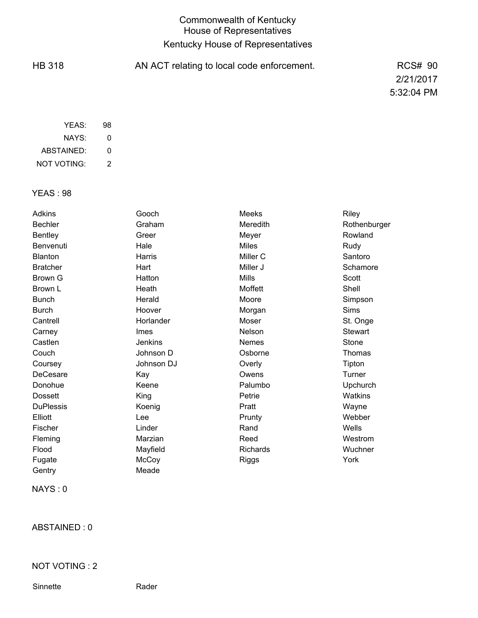## Commonwealth of Kentucky House of Representatives Kentucky House of Representatives

HB 318 AN ACT relating to local code enforcement. RCS# 90 2/21/2017 5:32:04 PM

| YFAS:       | 98 |
|-------------|----|
| NAYS:       | Ω  |
| ABSTAINED:  | Ω  |
| NOT VOTING: | 2  |

## YEAS : 98

| <b>Adkins</b>    | Gooch          | Meeks           | Riley          |
|------------------|----------------|-----------------|----------------|
| <b>Bechler</b>   | Graham         | Meredith        | Rothenburger   |
| <b>Bentley</b>   | Greer          | Meyer           | Rowland        |
| Benvenuti        | Hale           | <b>Miles</b>    | Rudy           |
| Blanton          | Harris         | Miller C        | Santoro        |
| <b>Bratcher</b>  | Hart           | Miller J        | Schamore       |
| <b>Brown G</b>   | Hatton         | <b>Mills</b>    | Scott          |
| Brown L          | Heath          | Moffett         | Shell          |
| <b>Bunch</b>     | Herald         | Moore           | Simpson        |
| <b>Burch</b>     | Hoover         | Morgan          | <b>Sims</b>    |
| Cantrell         | Horlander      | Moser           | St. Onge       |
| Carney           | <b>Imes</b>    | Nelson          | <b>Stewart</b> |
| Castlen          | <b>Jenkins</b> | <b>Nemes</b>    | Stone          |
| Couch            | Johnson D      | Osborne         | Thomas         |
| Coursey          | Johnson DJ     | Overly          | Tipton         |
| DeCesare         | Kay            | Owens           | Turner         |
| Donohue          | Keene          | Palumbo         | Upchurch       |
| <b>Dossett</b>   | King           | Petrie          | <b>Watkins</b> |
| <b>DuPlessis</b> | Koenig         | Pratt           | Wayne          |
| Elliott          | Lee            | Prunty          | Webber         |
| Fischer          | Linder         | Rand            | Wells          |
| Fleming          | Marzian        | Reed            | Westrom        |
| Flood            | Mayfield       | <b>Richards</b> | Wuchner        |
| Fugate           | McCoy          | Riggs           | York           |
| Gentry           | Meade          |                 |                |

NAYS : 0

ABSTAINED : 0

NOT VOTING : 2

Sinnette Rader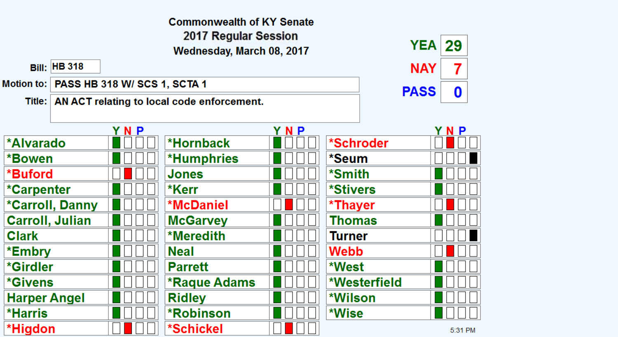| <b>Commonwealth of KY Senate</b>         |                     |                                           |                                                     |     |              |             |             |  |
|------------------------------------------|---------------------|-------------------------------------------|-----------------------------------------------------|-----|--------------|-------------|-------------|--|
| 2017 Regular Session<br><b>YEA</b><br>29 |                     |                                           |                                                     |     |              |             |             |  |
|                                          |                     |                                           | Wednesday, March 08, 2017                           |     |              |             |             |  |
|                                          | <b>Bill: HB 318</b> |                                           |                                                     |     |              | <b>NAY</b>  | 7           |  |
|                                          |                     | Motion to:   PASS HB 318 W/ SCS 1, SCTA 1 |                                                     |     |              | <b>PASS</b> | $\mathbf 0$ |  |
|                                          |                     |                                           | Title:   AN ACT relating to local code enforcement. |     |              |             |             |  |
|                                          |                     |                                           |                                                     |     |              |             |             |  |
|                                          |                     | YNP                                       |                                                     | YNP |              |             | YNP         |  |
| *Alvarado                                |                     |                                           | *Hornback                                           |     | *Schroder    |             |             |  |
| *Bowen                                   |                     |                                           | <b>*Humphries</b>                                   |     | *Seum        |             |             |  |
| *Buford                                  |                     |                                           | Jones                                               |     | *Smith       |             |             |  |
| *Carpenter                               |                     |                                           | *Kerr                                               |     | *Stivers     |             |             |  |
|                                          | *Carroll, Danny     |                                           | <b>*McDaniel</b>                                    |     | *Thayer      |             |             |  |
| <b>Carroll, Julian</b>                   |                     |                                           | <b>McGarvey</b>                                     |     | Thomas       |             |             |  |
| <b>Clark</b>                             |                     |                                           | <b>*Meredith</b>                                    |     | Turner       |             |             |  |
| *Embry                                   |                     |                                           | <b>Neal</b>                                         |     | Webb         |             |             |  |
| *Girdler                                 |                     |                                           | <b>Parrett</b>                                      |     | *West        |             |             |  |
| <i><b>*Givens</b></i>                    |                     |                                           | <b>*Raque Adams</b>                                 |     | *Westerfield |             |             |  |
| <b>Harper Angel</b>                      |                     |                                           | <b>Ridley</b>                                       |     | *Wilson      |             |             |  |
| *Harris                                  |                     |                                           | <b>*Robinson</b>                                    |     | *Wise        |             |             |  |
| *Higdon                                  |                     |                                           | *Schickel                                           |     |              |             | 5:31 PM     |  |